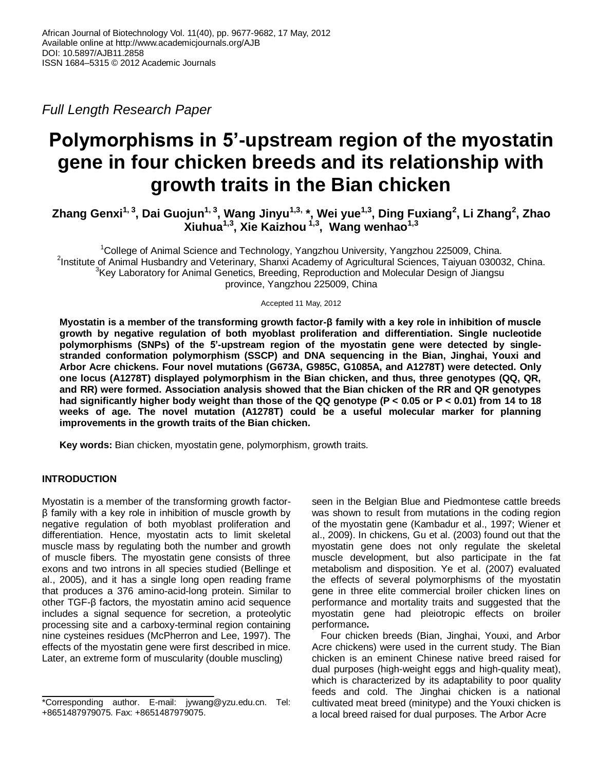*Full Length Research Paper*

# **Polymorphisms in 5'-upstream region of the myostatin gene in four chicken breeds and its relationship with growth traits in the Bian chicken**

**Zhang Genxi1, 3 , Dai Guojun1, 3, Wang Jinyu1,3, \*, Wei yue1,3, Ding Fuxiang<sup>2</sup> , Li Zhang<sup>2</sup> , Zhao Xiuhua1,3, Xie Kaizhou 1,3, Wang wenhao1,3**

<sup>1</sup>College of Animal Science and Technology, Yangzhou University, Yangzhou 225009, China. <sup>2</sup>Institute of Animal Husbandry and Veterinary, Shanxi Academy of Agricultural Sciences, Taiyuan 030032, China. <sup>3</sup>Key Laboratory for Animal Genetics, Breeding, Reproduction and Molecular Design of Jiangsu province, Yangzhou 225009, China

Accepted 11 May, 2012

**Myostatin is a member of the transforming growth factor-β family with a key role in inhibition of muscle growth by negative regulation of both myoblast proliferation and differentiation. Single nucleotide polymorphisms (SNPs) of the 5'-upstream region of the myostatin gene were detected by singlestranded conformation polymorphism (SSCP) and DNA sequencing in the Bian, Jinghai, Youxi and Arbor Acre chickens. Four novel mutations (G673A, G985C, G1085A, and A1278T) were detected. Only one locus (A1278T) displayed polymorphism in the Bian chicken, and thus, three genotypes (QQ, QR, and RR) were formed. Association analysis showed that the Bian chicken of the RR and QR genotypes had significantly higher body weight than those of the QQ genotype (P < 0.05 or P < 0.01) from 14 to 18 weeks of age. The novel mutation (A1278T) could be a useful molecular marker for planning improvements in the growth traits of the Bian chicken.**

**Key words:** Bian chicken, myostatin gene, polymorphism, growth traits.

# **INTRODUCTION**

Myostatin is a member of the transforming growth factorβ family with a key role in inhibition of muscle growth by negative regulation of both myoblast proliferation and differentiation. Hence, myostatin acts to limit skeletal muscle mass by regulating both the number and growth of muscle fibers. The myostatin gene consists of three exons and two introns in all species studied (Bellinge et al., 2005), and it has a single long open reading frame that produces a 376 amino-acid-long protein. Similar to other TGF-β factors, the myostatin amino acid sequence includes a signal sequence for secretion, a proteolytic processing site and a carboxy-terminal region containing nine cysteines residues (McPherron and Lee, 1997). The effects of the myostatin gene were first described in mice. Later, an extreme form of muscularity (double muscling)

seen in the Belgian Blue and Piedmontese cattle breeds was shown to result from mutations in the coding region of the myostatin gene (Kambadur et al., 1997; Wiener et al., 2009). In chickens, Gu et al. (2003) found out that the myostatin gene does not only regulate the skeletal muscle development, but also participate in the fat metabolism and disposition. Ye et al. (2007) evaluated the effects of several polymorphisms of the myostatin gene in three elite commercial broiler chicken lines on performance and mortality traits and suggested that the myostatin gene had pleiotropic effects on broiler performance**.**

Four chicken breeds (Bian, Jinghai, Youxi, and Arbor Acre chickens) were used in the current study. The Bian chicken is an eminent Chinese native breed raised for dual purposes (high-weight eggs and high-quality meat), which is characterized by its adaptability to poor quality feeds and cold. The Jinghai chicken is a national cultivated meat breed (minitype) and the Youxi chicken is a local breed raised for dual purposes. The Arbor Acre

<sup>\*</sup>Corresponding author. E-mail: jywang@yzu.edu.cn. Tel: +8651487979075. Fax: +8651487979075.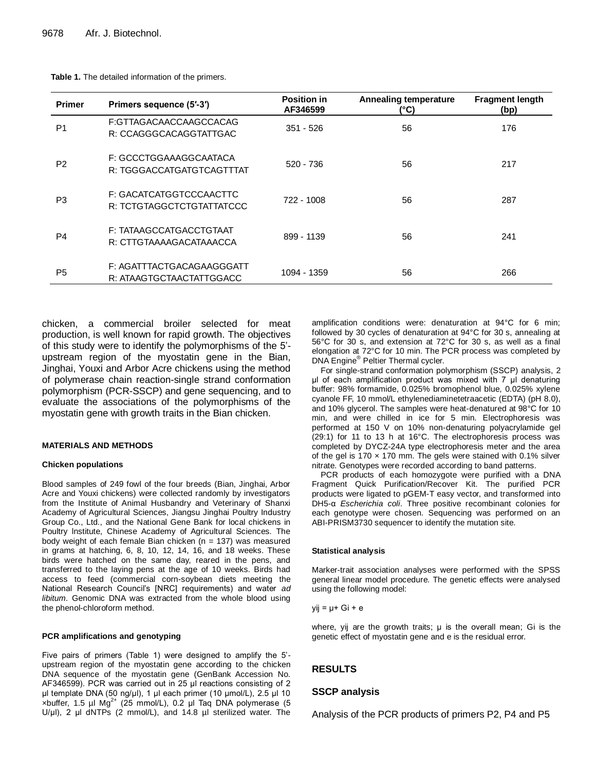| Table 1. The detailed information of the primers. |
|---------------------------------------------------|
|---------------------------------------------------|

| <b>Primer</b>  | Primers sequence (5'-3')                              | <b>Position in</b><br>AF346599 | <b>Annealing temperature</b><br>(°C) | <b>Fragment length</b><br>(bp) |
|----------------|-------------------------------------------------------|--------------------------------|--------------------------------------|--------------------------------|
| P <sub>1</sub> | F:GTTAGACAACCAAGCCACAG<br>R: CCAGGGCACAGGTATTGAC      | $351 - 526$                    | 56                                   | 176                            |
| P <sub>2</sub> | F: GCCCTGGAAAGGCAATACA<br>R: TGGGACCATGATGTCAGTTTAT   | $520 - 736$                    | 56                                   | 217                            |
| P <sub>3</sub> | F: GACATCATGGTCCCAACTTC<br>R: TCTGTAGGCTCTGTATTATCCC  | 722 - 1008                     | 56                                   | 287                            |
| P <sub>4</sub> | F: TATAAGCCATGACCTGTAAT<br>R: CTTGTAAAAGACATAAACCA    | 899 - 1139                     | 56                                   | 241                            |
| P <sub>5</sub> | F: AGATTTACTGACAGAAGGGATT<br>R: ATAAGTGCTAACTATTGGACC | 1094 - 1359                    | 56                                   | 266                            |

chicken, a commercial broiler selected for meat production, is well known for rapid growth. The objectives of this study were to identify the polymorphisms of the 5' upstream region of the myostatin gene in the Bian, Jinghai, Youxi and Arbor Acre chickens using the method of polymerase chain reaction-single strand conformation polymorphism (PCR-SSCP) and gene sequencing, and to evaluate the associations of the polymorphisms of the myostatin gene with growth traits in the Bian chicken.

#### **MATERIALS AND METHODS**

#### **Chicken populations**

Blood samples of 249 fowl of the four breeds (Bian, Jinghai, Arbor Acre and Youxi chickens) were collected randomly by investigators from the Institute of Animal Husbandry and Veterinary of Shanxi Academy of Agricultural Sciences, Jiangsu Jinghai Poultry Industry Group Co., Ltd., and the National Gene Bank for local chickens in Poultry lnstitute, Chinese Academy of Agricultural Sciences. The body weight of each female Bian chicken  $(n = 137)$  was measured in grams at hatching, 6, 8, 10, 12, 14, 16, and 18 weeks. These birds were hatched on the same day, reared in the pens, and transferred to the laying pens at the age of 10 weeks. Birds had access to feed (commercial corn-soybean diets meeting the National Research Council's [NRC] requirements) and water *ad libitum*. Genomic DNA was extracted from the whole blood using the phenol-chloroform method.

#### **PCR amplifications and genotyping**

Five pairs of primers (Table 1) were designed to amplify the 5' upstream region of the myostatin gene according to the chicken DNA sequence of the myostatin gene (GenBank Accession No. AF346599). PCR was carried out in 25 μl reactions consisting of 2 μl template DNA (50 ng/μl), 1 μl each primer (10 μmol/L), 2.5 μl 10  $x$ buffer, 1.5 μl Mg<sup>2+</sup> (25 mmol/L), 0.2 μl Taq DNA polymerase (5 U/µl), 2 µl dNTPs (2 mmol/L), and 14.8 µl sterilized water. The

amplification conditions were: denaturation at 94°C for 6 min; followed by 30 cycles of denaturation at 94°C for 30 s, annealing at 56°C for 30 s, and extension at 72°C for 30 s, as well as a final elongation at 72°C for 10 min. The PCR process was completed by DNA Engine® Peltier Thermal cycler.

For single-strand conformation polymorphism (SSCP) analysis, 2 μl of each amplification product was mixed with 7 μl denaturing buffer: 98% formamide, 0.025% bromophenol blue, 0.025% xylene cyanole FF, 10 mmol/L ethylenediaminetetraacetic (EDTA) (pH 8.0), and 10% glycerol. The samples were heat-denatured at 98°C for 10 min, and were chilled in ice for 5 min. Electrophoresis was performed at 150 V on 10% non-denaturing polyacrylamide gel (29:1) for 11 to 13 h at 16°C. The electrophoresis process was completed by DYCZ-24A type electrophoresis meter and the area of the gel is 170  $\times$  170 mm. The gels were stained with 0.1% silver nitrate. Genotypes were recorded according to band patterns.

PCR products of each homozygote were purified with a DNA Fragment Quick Purification/Recover Kit. The purified PCR products were ligated to pGEM-T easy vector, and transformed into DH5-α *Escherichia coli*. Three positive recombinant colonies for each genotype were chosen. Sequencing was performed on an ABI-PRISM3730 sequencer to identify the mutation site.

#### **Statistical analysis**

Marker-trait association analyses were performed with the SPSS general linear model procedure. The genetic effects were analysed using the following model:

yij = μ+ Gi + e

where, yij are the growth traits;  $\mu$  is the overall mean; Gi is the genetic effect of myostatin gene and e is the residual error.

## **RESULTS**

### **SSCP analysis**

Analysis of the PCR products of primers P2, P4 and P5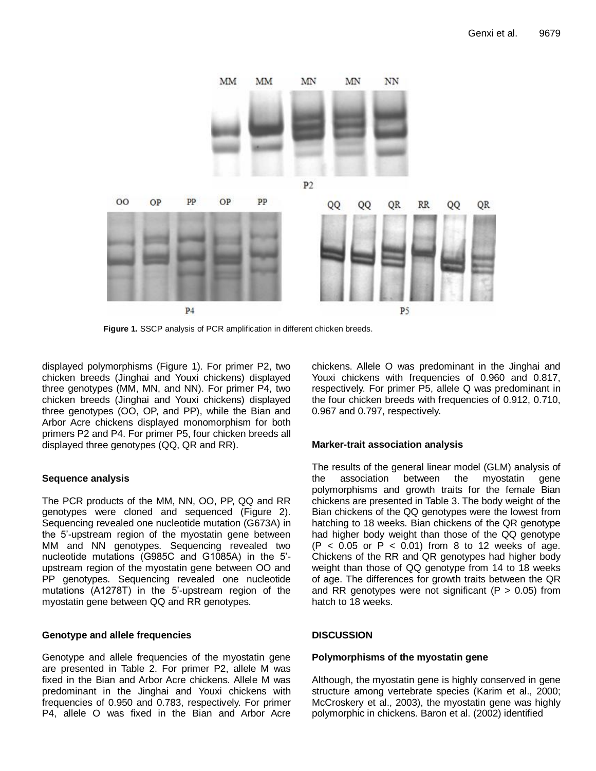

**Figure 1.** SSCP analysis of PCR amplification in different chicken breeds.

displayed polymorphisms (Figure 1). For primer P2, two chicken breeds (Jinghai and Youxi chickens) displayed three genotypes (MM, MN, and NN). For primer P4, two chicken breeds (Jinghai and Youxi chickens) displayed three genotypes (OO, OP, and PP), while the Bian and Arbor Acre chickens displayed monomorphism for both primers P2 and P4. For primer P5, four chicken breeds all displayed three genotypes (QQ, QR and RR).

## **Sequence analysis**

The PCR products of the MM, NN, OO, PP, QQ and RR genotypes were cloned and sequenced (Figure 2). Sequencing revealed one nucleotide mutation (G673A) in the 5'-upstream region of the myostatin gene between MM and NN genotypes. Sequencing revealed two nucleotide mutations (G985C and G1085A) in the 5' upstream region of the myostatin gene between OO and PP genotypes. Sequencing revealed one nucleotide mutations (A1278T) in the 5'-upstream region of the myostatin gene between QQ and RR genotypes.

## **Genotype and allele frequencies**

Genotype and allele frequencies of the myostatin gene are presented in Table 2. For primer P2, allele M was fixed in the Bian and Arbor Acre chickens. Allele M was predominant in the Jinghai and Youxi chickens with frequencies of 0.950 and 0.783, respectively. For primer P4, allele O was fixed in the Bian and Arbor Acre chickens. Allele O was predominant in the Jinghai and Youxi chickens with frequencies of 0.960 and 0.817, respectively. For primer P5, allele Q was predominant in the four chicken breeds with frequencies of 0.912, 0.710, 0.967 and 0.797, respectively.

# **Marker-trait association analysis**

The results of the general linear model (GLM) analysis of the association between the myostatin gene polymorphisms and growth traits for the female Bian chickens are presented in Table 3. The body weight of the Bian chickens of the QQ genotypes were the lowest from hatching to 18 weeks. Bian chickens of the QR genotype had higher body weight than those of the QQ genotype  $(P < 0.05$  or  $P < 0.01$ ) from 8 to 12 weeks of age. Chickens of the RR and QR genotypes had higher body weight than those of QQ genotype from 14 to 18 weeks of age. The differences for growth traits between the QR and RR genotypes were not significant ( $P > 0.05$ ) from hatch to 18 weeks.

# **DISCUSSION**

# **Polymorphisms of the myostatin gene**

Although, the myostatin gene is highly conserved in gene structure among vertebrate species (Karim et al., 2000; McCroskery et al., 2003), the myostatin gene was highly polymorphic in chickens. Baron et al. (2002) identified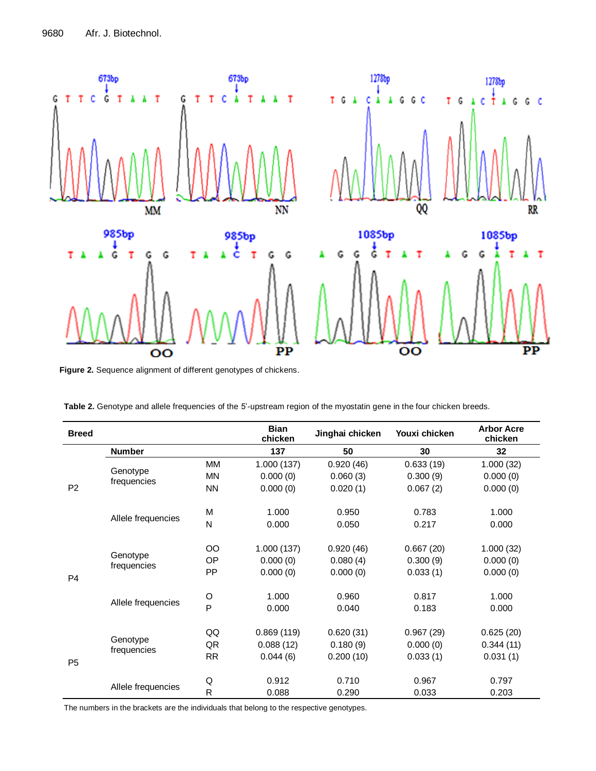

**Figure 2.** Sequence alignment of different genotypes of chickens.

| Table 2. Genotype and allele frequencies of the 5'-upstream region of the myostatin gene in the four chicken breeds. |  |  |
|----------------------------------------------------------------------------------------------------------------------|--|--|
|                                                                                                                      |  |  |

| <b>Breed</b>   |                         |           | <b>Bian</b><br>chicken | Jinghai chicken | Youxi chicken | <b>Arbor Acre</b><br>chicken |
|----------------|-------------------------|-----------|------------------------|-----------------|---------------|------------------------------|
|                | <b>Number</b>           |           | 137                    | 50              | 30            | 32                           |
| P <sub>2</sub> | Genotype<br>frequencies | MM        | 1.000(137)             | 0.920(46)       | 0.633(19)     | 1.000(32)                    |
|                |                         | <b>MN</b> | 0.000(0)               | 0.060(3)        | 0.300(9)      | 0.000(0)                     |
|                |                         | <b>NN</b> | 0.000(0)               | 0.020(1)        | 0.067(2)      | 0.000(0)                     |
|                | Allele frequencies      | M         | 1.000                  | 0.950           | 0.783         | 1.000                        |
|                |                         | N         | 0.000                  | 0.050           | 0.217         | 0.000                        |
| P <sub>4</sub> | Genotype<br>frequencies | <b>OO</b> | 1.000(137)             | 0.920(46)       | 0.667(20)     | 1.000(32)                    |
|                |                         | <b>OP</b> | 0.000(0)               | 0.080(4)        | 0.300(9)      | 0.000(0)                     |
|                |                         | PP        | 0.000(0)               | 0.000(0)        | 0.033(1)      | 0.000(0)                     |
|                | Allele frequencies      | O         | 1.000                  | 0.960           | 0.817         | 1.000                        |
|                |                         | P         | 0.000                  | 0.040           | 0.183         | 0.000                        |
| <b>P5</b>      | Genotype<br>frequencies | QQ        | 0.869(119)             | 0.620(31)       | 0.967(29)     | 0.625(20)                    |
|                |                         | QR        | 0.088(12)              | 0.180(9)        | 0.000(0)      | 0.344(11)                    |
|                |                         | <b>RR</b> | 0.044(6)               | 0.200(10)       | 0.033(1)      | 0.031(1)                     |
|                |                         | Q         | 0.912                  | 0.710           | 0.967         | 0.797                        |
|                | Allele frequencies      | R         | 0.088                  | 0.290           | 0.033         | 0.203                        |

The numbers in the brackets are the individuals that belong to the respective genotypes.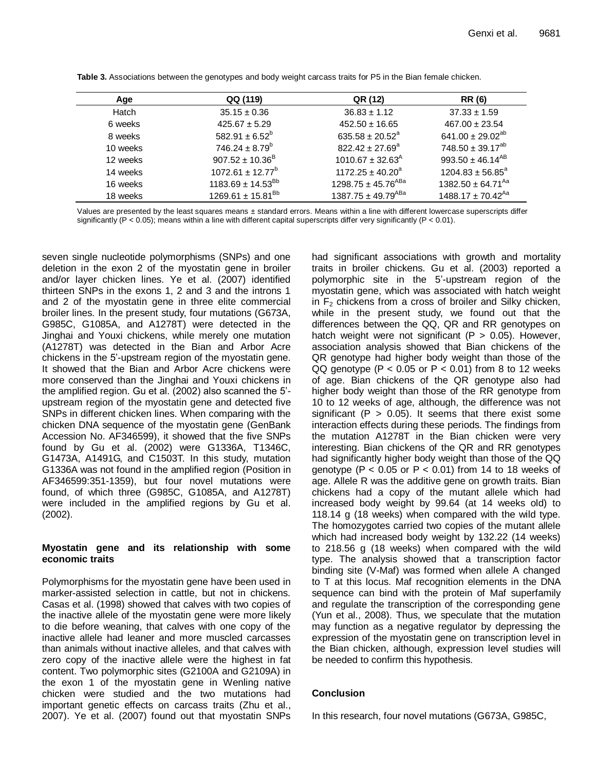| Age      | QQ (119)                 | QR (12)                            | <b>RR</b> (6)                     |
|----------|--------------------------|------------------------------------|-----------------------------------|
| Hatch    | $35.15 \pm 0.36$         | $36.83 \pm 1.12$                   | $37.33 \pm 1.59$                  |
| 6 weeks  | $425.67 \pm 5.29$        | $452.50 \pm 16.65$                 | $467.00 \pm 23.54$                |
| 8 weeks  | $582.91 \pm 6.52^b$      | $635.58 \pm 20.52^a$               | 641.00 ± 29.02 <sup>ab</sup>      |
| 10 weeks | $746.24 \pm 8.79^b$      | $822.42 \pm 27.69^a$               | $748.50 \pm 39.17^{ab}$           |
| 12 weeks | $907.52 \pm 10.36^B$     | $1010.67 \pm 32.63$ <sup>A</sup>   | $993.50 \pm 46.14^{AB}$           |
| 14 weeks | $1072.61 \pm 12.77^b$    | $1172.25 \pm 40.20^a$              | $1204.83 \pm 56.85^a$             |
| 16 weeks | $1183.69 \pm 14.53^{Bb}$ | $1298.75 \pm 45.76$ <sup>ABa</sup> | $1382.50 \pm 64.71^{Aa}$          |
| 18 weeks | $1269.61 \pm 15.81^{Bb}$ | $1387.75 \pm 49.79$ <sup>ABa</sup> | $1488.17 \pm 70.42$ <sup>Aa</sup> |

**Table 3.** Associations between the genotypes and body weight carcass traits for P5 in the Bian female chicken.

Values are presented by the least squares means ± standard errors. Means within a line with different lowercase superscripts differ significantly ( $P < 0.05$ ); means within a line with different capital superscripts differ very significantly ( $P < 0.01$ ).

seven single nucleotide polymorphisms (SNPs) and one deletion in the exon 2 of the myostatin gene in broiler and/or layer chicken lines. Ye et al. (2007) identified thirteen SNPs in the exons 1, 2 and 3 and the introns 1 and 2 of the myostatin gene in three elite commercial broiler lines. In the present study, four mutations (G673A, G985C, G1085A, and A1278T) were detected in the Jinghai and Youxi chickens, while merely one mutation (A1278T) was detected in the Bian and Arbor Acre chickens in the 5'-upstream region of the myostatin gene. It showed that the Bian and Arbor Acre chickens were more conserved than the Jinghai and Youxi chickens in the amplified region. Gu et al. (2002) also scanned the 5' upstream region of the myostatin gene and detected five SNPs in different chicken lines. When comparing with the chicken DNA sequence of the myostatin gene (GenBank Accession No. AF346599), it showed that the five SNPs found by Gu et al. (2002) were G1336A, T1346C, G1473A, A1491G, and C1503T. In this study, mutation G1336A was not found in the amplified region (Position in AF346599:351-1359), but four novel mutations were found, of which three (G985C, G1085A, and A1278T) were included in the amplified regions by Gu et al. (2002).

## **Myostatin gene and its relationship with some economic traits**

Polymorphisms for the myostatin gene have been used in marker-assisted selection in cattle, but not in chickens. Casas et al. (1998) showed that calves with two copies of the inactive allele of the myostatin gene were more likely to die before weaning, that calves with one copy of the inactive allele had leaner and more muscled carcasses than animals without inactive alleles, and that calves with zero copy of the inactive allele were the highest in fat content. Two polymorphic sites (G2100A and G2109A) in the exon 1 of the myostatin gene in Wenling native chicken were studied and the two mutations had important genetic effects on carcass traits (Zhu et al., 2007). Ye et al. (2007) found out that myostatin SNPs had significant associations with growth and mortality traits in broiler chickens. Gu et al. (2003) reported a polymorphic site in the 5'-upstream region of the myostatin gene, which was associated with hatch weight in  $F<sub>2</sub>$  chickens from a cross of broiler and Silky chicken, while in the present study, we found out that the differences between the QQ, QR and RR genotypes on hatch weight were not significant ( $P > 0.05$ ). However, association analysis showed that Bian chickens of the QR genotype had higher body weight than those of the  $QQ$  genotype (P < 0.05 or P < 0.01) from 8 to 12 weeks of age. Bian chickens of the QR genotype also had higher body weight than those of the RR genotype from 10 to 12 weeks of age, although, the difference was not significant ( $P > 0.05$ ). It seems that there exist some interaction effects during these periods. The findings from the mutation A1278T in the Bian chicken were very interesting. Bian chickens of the QR and RR genotypes had significantly higher body weight than those of the QQ genotype ( $P < 0.05$  or  $P < 0.01$ ) from 14 to 18 weeks of age. Allele R was the additive gene on growth traits. Bian chickens had a copy of the mutant allele which had increased body weight by 99.64 (at 14 weeks old) to 118.14 g (18 weeks) when compared with the wild type. The homozygotes carried two copies of the mutant allele which had increased body weight by 132.22 (14 weeks) to 218.56 g (18 weeks) when compared with the wild type. The analysis showed that a transcription factor binding site (V-Maf) was formed when allele A changed to T at this locus. Maf recognition elements in the DNA sequence can bind with the protein of Maf superfamily and regulate the transcription of the corresponding gene (Yun et al., 2008). Thus, we speculate that the mutation may function as a negative regulator by depressing the expression of the myostatin gene on transcription level in the Bian chicken, although, expression level studies will be needed to confirm this hypothesis.

# **Conclusion**

In this research, four novel mutations (G673A, G985C,